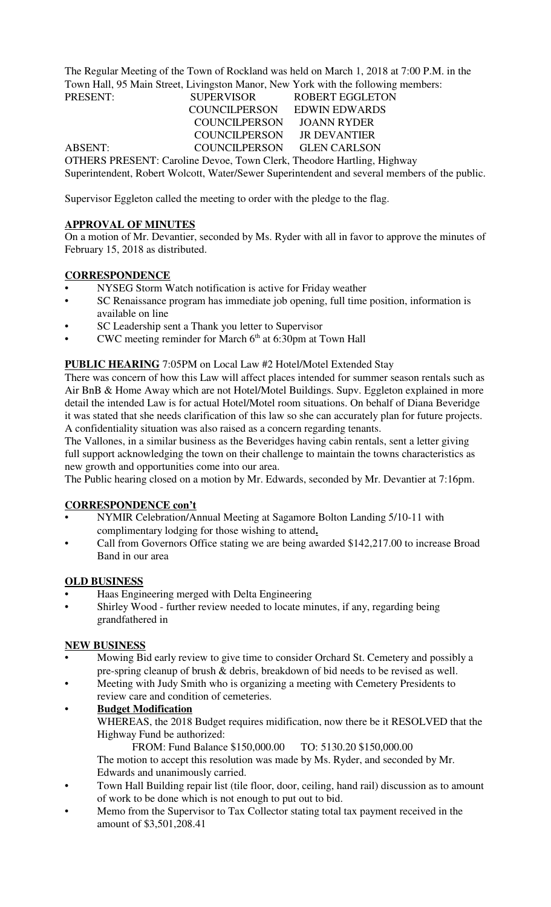The Regular Meeting of the Town of Rockland was held on March 1, 2018 at 7:00 P.M. in the Town Hall, 95 Main Street, Livingston Manor, New York with the following members: PRESENT: SUPERVISOR ROBERT EGGLETON

COUNCILPERSON EDWIN EDWARDS<br>COUNCILPERSON JOANN RYDER COUNCILPERSON COUNCILPERSON JR DEVANTIER ABSENT: COUNCILPERSON GLEN CARLSON OTHERS PRESENT: Caroline Devoe, Town Clerk, Theodore Hartling, Highway Superintendent, Robert Wolcott, Water/Sewer Superintendent and several members of the public.

Supervisor Eggleton called the meeting to order with the pledge to the flag.

## **APPROVAL OF MINUTES**

On a motion of Mr. Devantier, seconded by Ms. Ryder with all in favor to approve the minutes of February 15, 2018 as distributed.

## **CORRESPONDENCE**

- NYSEG Storm Watch notification is active for Friday weather
- SC Renaissance program has immediate job opening, full time position, information is available on line
- SC Leadership sent a Thank you letter to Supervisor
- CWC meeting reminder for March  $6<sup>th</sup>$  at 6:30pm at Town Hall

### **PUBLIC HEARING** 7:05PM on Local Law #2 Hotel/Motel Extended Stay

There was concern of how this Law will affect places intended for summer season rentals such as Air BnB & Home Away which are not Hotel/Motel Buildings. Supv. Eggleton explained in more detail the intended Law is for actual Hotel/Motel room situations. On behalf of Diana Beveridge it was stated that she needs clarification of this law so she can accurately plan for future projects. A confidentiality situation was also raised as a concern regarding tenants.

The Vallones, in a similar business as the Beveridges having cabin rentals, sent a letter giving full support acknowledging the town on their challenge to maintain the towns characteristics as new growth and opportunities come into our area.

The Public hearing closed on a motion by Mr. Edwards, seconded by Mr. Devantier at 7:16pm.

### **CORRESPONDENCE con't**

- NYMIR Celebration/Annual Meeting at Sagamore Bolton Landing 5/10-11 with complimentary lodging for those wishing to attend**.**
- Call from Governors Office stating we are being awarded \$142,217.00 to increase Broad Band in our area

## **OLD BUSINESS**

- Haas Engineering merged with Delta Engineering
- Shirley Wood further review needed to locate minutes, if any, regarding being grandfathered in

### **NEW BUSINESS**

- Mowing Bid early review to give time to consider Orchard St. Cemetery and possibly a pre-spring cleanup of brush & debris, breakdown of bid needs to be revised as well.
- Meeting with Judy Smith who is organizing a meeting with Cemetery Presidents to review care and condition of cemeteries.
- **Budget Modification** WHEREAS, the 2018 Budget requires midification, now there be it RESOLVED that the Highway Fund be authorized:
	- FROM: Fund Balance \$150,000.00 TO: 5130.20 \$150,000.00 The motion to accept this resolution was made by Ms. Ryder, and seconded by Mr. Edwards and unanimously carried.
- Town Hall Building repair list (tile floor, door, ceiling, hand rail) discussion as to amount of work to be done which is not enough to put out to bid.
- Memo from the Supervisor to Tax Collector stating total tax payment received in the amount of \$3,501,208.41